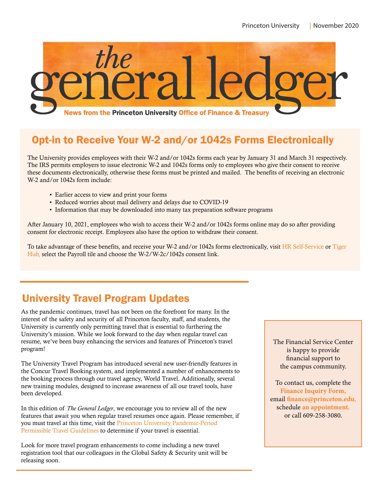

# Opt-in to Receive Your W-2 and/or 1042s Forms Electronically

The University provides employees with their W-2 and/or 1042s forms each year by January 31 and March 31 respectively. The IRS permits employers to issue electronic W-2 and 1042s forms only to employees who give their consent to receive these documents electronically, otherwise these forms must be printed and mailed. The benefits of receiving an electronic W-2 and/or 1042s form include:

- Earlier access to view and print your forms
- Reduced worries about mail delivery and delays due to COVID-19
- Information that may be downloaded into many tax preparation software programs

After January 10, 2021, employees who wish to access their W-2 and/or 1042s forms online may do so after providing consent for electronic receipt. Employees also have the option to withdraw their consent.

To take advantage of these benefits, and receive your W-2 and/or 1042s forms electronically, visit [HR Self-Service o](https://www.princeton.edu/selfservice)r [Tiger](https://www.princeton.edu/tigerhub)  [Hub, s](https://www.princeton.edu/tigerhub)elect the Payroll tile and choose the W-2/W-2c/1042s consent link.

# University Travel Program Updates

As the pandemic continues, travel has not been on the forefront for many. In the interest of the safety and security of all Princeton faculty, staff, and students, the University is currently only permitting travel that is essential to furthering the University's mission. While we look forward to the day when regular travel can resume, we've been busy enhancing the services and features of Princeton's travel program!

The University Travel Program has introduced several new user-friendly features in the Concur Travel Booking system, and implemented a number of enhancements to the booking process through our travel agency, World Travel. Additionally, several new training modules, designed to increase awareness of all our travel tools, have been developed.

In this edition of *The General Ledger*, we encourage you to review all of the new features that await you when regular travel resumes once again. Please remember, if you must travel at this time, visit the [Princeton University Pandemic-Period](https://international.princeton.edu/travel-toolkit)  [Permissible Travel Guidelines](https://international.princeton.edu/travel-toolkit) to determine if your travel is essential.

Look for more travel program enhancements to come including a new travel registration tool that our colleagues in the Global Safety & Security unit will be releasing soon.

The Financial Service Center is happy to provide financial support to the campus community.

To contact us, complete the **Finance Inquiry Form,** email finance@princeton.edu, schedule an appointment, or call 609-258-3080.